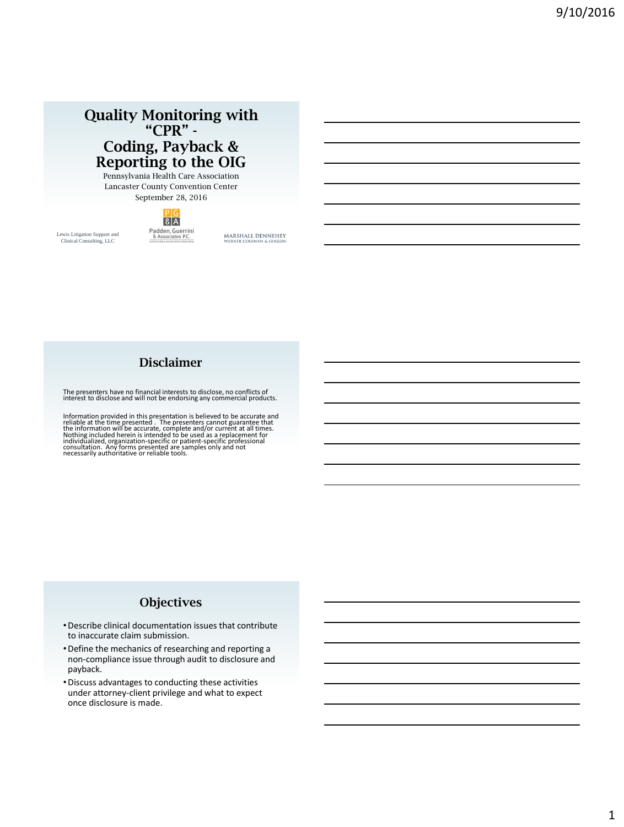# **Quality Monitoring with "CPR" - Coding, Payback & Reporting to the OIG**

Pennsylvania Health Care Association Lancaster County Convention Center September 28, 2016

# $8A$ Padden, Guerrini<br>& Associates P.C.

Lewis Litigation Support and Clinical Consulting, LLC

MARSHALL DENNEHEY COLEMAN & GC

# **Disclaimer**

The presenters have no financial interests to disclose, no conflicts of interest to disclose and will not be endorsing any commercial products.

Information provided in this presentation is believed to be accurate and<br>reliable at the time presented. The presenters cannot guarantee that<br>the information will be accurate, complete and/or current at all times.<br>Nothing

# **Objectives**

- •Describe clinical documentation issues that contribute to inaccurate claim submission.
- •Define the mechanics of researching and reporting a non-compliance issue through audit to disclosure and payback.
- •Discuss advantages to conducting these activities under attorney-client privilege and what to expect once disclosure is made.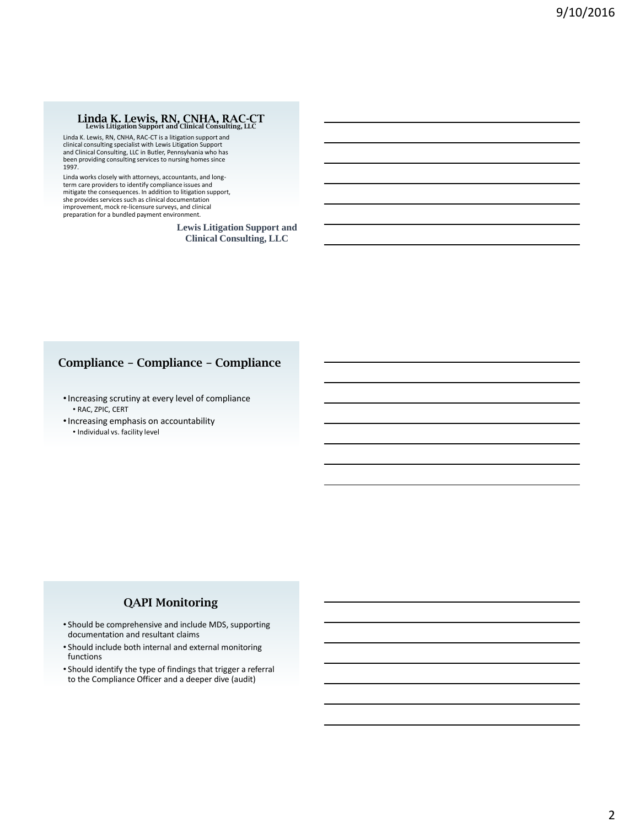# **Linda K. Lewis, RN, CNHA, RAC-CT Lewis Litigation Support and Clinical Consulting, LLC**

Linda K. Lewis, RN, CNHA, RAC-CT is a litigation support and clinical consulting specialist with Lewis Litigation Support and Clinical Consulting, LLC in Butler, Pennsylvania who has been providing consulting services to nursing homes since 1997.

Linda works closely with attorneys, accountants, and longterm care providers to identify compliance issues and mitigate the consequences. In addition to litigation support, she provides services such as clinical documentation improvement, mock re-licensure surveys, and clinical preparation for a bundled payment environment.

> **Lewis Litigation Support and Clinical Consulting, LLC**

# **Compliance – Compliance – Compliance**

- •Increasing scrutiny at every level of compliance • RAC, ZPIC, CERT
- •Increasing emphasis on accountability
	- Individual vs. facility level

### **QAPI Monitoring**

- Should be comprehensive and include MDS, supporting documentation and resultant claims
- Should include both internal and external monitoring functions
- Should identify the type of findings that trigger a referral to the Compliance Officer and a deeper dive (audit)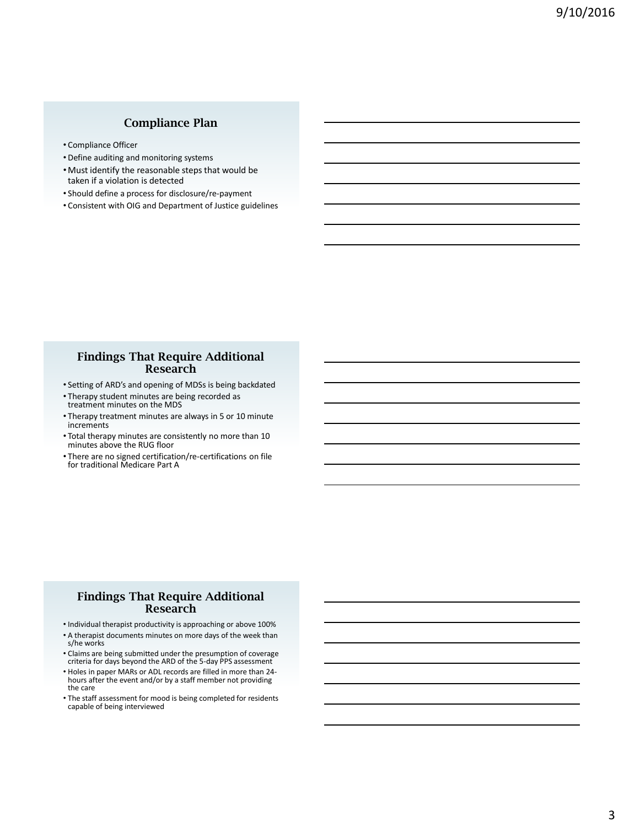# **Compliance Plan**

- Compliance Officer
- Define auditing and monitoring systems
- Must identify the reasonable steps that would be taken if a violation is detected
- Should define a process for disclosure/re-payment
- Consistent with OIG and Department of Justice guidelines

#### **Findings That Require Additional Research**

- Setting of ARD's and opening of MDSs is being backdated
- Therapy student minutes are being recorded as treatment minutes on the MDS
- Therapy treatment minutes are always in 5 or 10 minute increments
- Total therapy minutes are consistently no more than 10 minutes above the RUG floor
- There are no signed certification/re-certifications on file for traditional Medicare Part A

#### **Findings That Require Additional Research**

- Individual therapist productivity is approaching or above 100%
- A therapist documents minutes on more days of the week than s/he works
- Claims are being submitted under the presumption of coverage criteria for days beyond the ARD of the 5-day PPS assessment
- Holes in paper MARs or ADL records are filled in more than 24 hours after the event and/or by a staff member not providing the care
- The staff assessment for mood is being completed for residents capable of being interviewed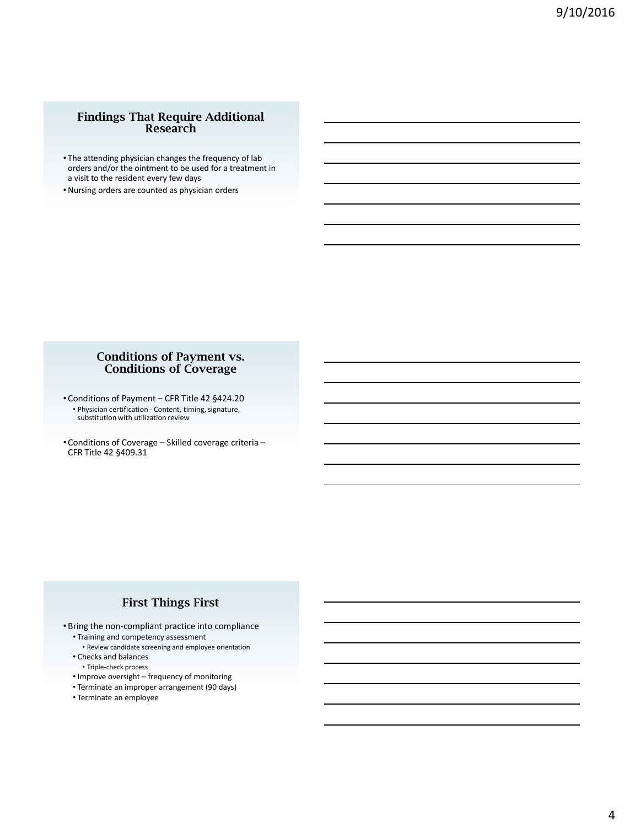### **Findings That Require Additional Research**

- The attending physician changes the frequency of lab orders and/or the ointment to be used for a treatment in a visit to the resident every few days
- Nursing orders are counted as physician orders

#### **Conditions of Payment vs. Conditions of Coverage**

- Conditions of Payment CFR Title 42 §424.20 • Physician certification - Content, timing, signature, substitution with utilization review
- Conditions of Coverage Skilled coverage criteria CFR Title 42 §409.31

## **First Things First**

• Bring the non-compliant practice into compliance • Training and competency assessment

- Review candidate screening and employee orientation
- Checks and balances
- Triple-check process
- Improve oversight frequency of monitoring
- Terminate an improper arrangement (90 days) • Terminate an employee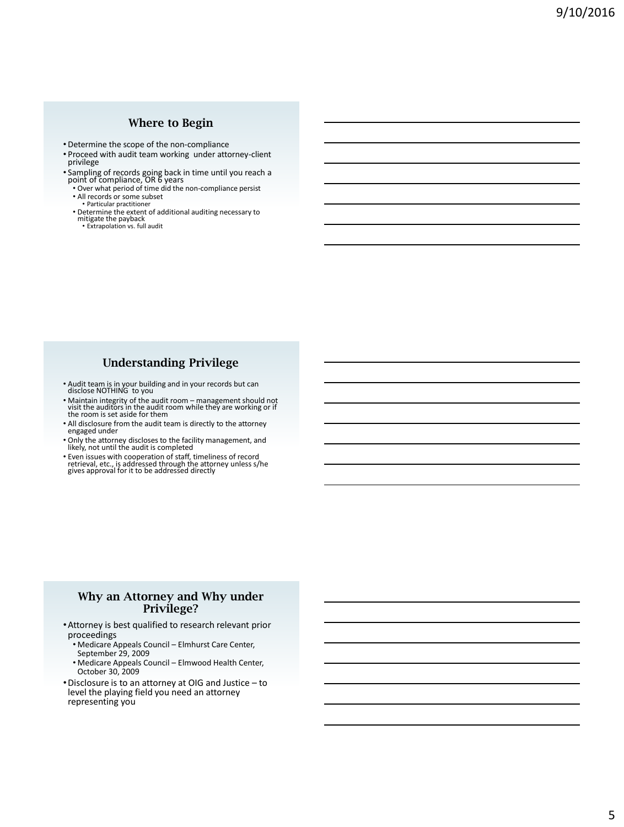### **Where to Begin**

- Determine the scope of the non-compliance
- Proceed with audit team working under attorney-client privilege
- Sampling of records going back in time until you reach a point of compliance, OR 6 years Over what period of time did the non-compliance persist All records or some subset
- 
- Particular practitioner
- Determine the extent of additional auditing necessary to mitigate the payback Extrapolation vs. full audit

# **Understanding Privilege**

- Audit team is in your building and in your records but can disclose NOTHING to you
- Maintain integrity of the audit room management should not<br>visit the auditors in the audit room while they are working or if<br>the room is set aside for them
- All disclosure from the audit team is directly to the attorney engaged under
- Only the attorney discloses to the facility management, and likely, not until the audit is completed
- Even issues with cooperation of staff, timeliness of record retrieval, etc., is addressed through the attorney unless s/he gives approval for it to be addressed directly

#### **Why an Attorney and Why under Privilege?**

- •Attorney is best qualified to research relevant prior proceedings
	- Medicare Appeals Council Elmhurst Care Center, September 29, 2009
	- Medicare Appeals Council Elmwood Health Center, October 30, 2009
- •Disclosure is to an attorney at OIG and Justice to level the playing field you need an attorney representing you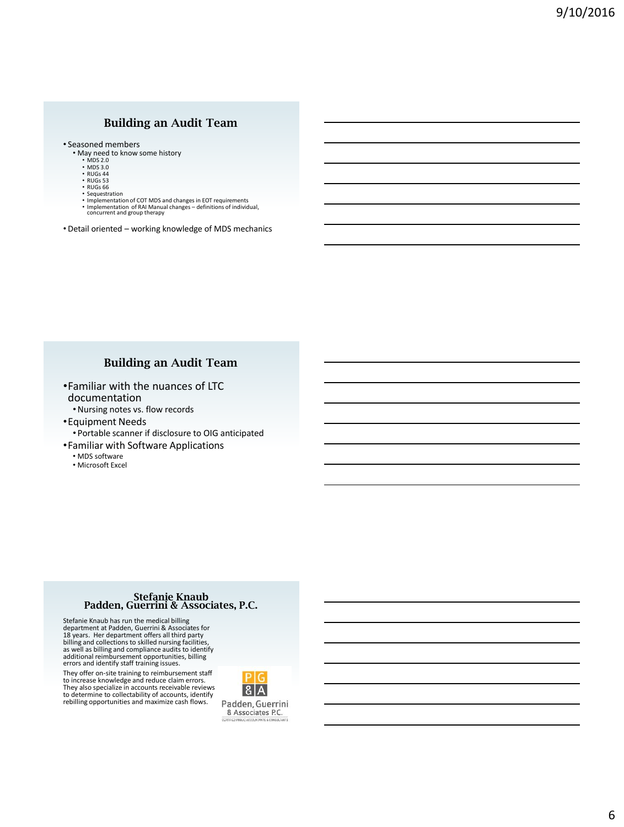### **Building an Audit Team**

• Seasoned members

- May need to know some history
	- MDS 2.0 MDS 3.0 RUGs 44 RUGs 53
	-
	-
	- RUGs 66
	- Sequestration
	-
	- Implementation of COT MDS and changes in EOT requirements Implementation of RAI Manual changes definitions of individual, concurrent and group therapy
- Detail oriented working knowledge of MDS mechanics

#### **Building an Audit Team**

- •Familiar with the nuances of LTC documentation
	- •Nursing notes vs. flow records
- •Equipment Needs • Portable scanner if disclosure to OIG anticipated
- •Familiar with Software Applications
	- MDS software
	- Microsoft Excel

#### **Stefanie Knaub Padden, Guerrini & Associates, P.C.**

Stefanie Knaub has run the medical billing<br>department at Padden, Guerrini & Associates for<br>18 years. Her department offers all third party<br>billing and collections to skilled nursing facilities,<br>billing and collections to s

They offer on-site training to reimbursement staff<br>to increase knowledge and reduce claim errors.<br>They also specialize in accounts receivable reviews<br>to determine to collectability of accounts, identify<br>rebilling opportuni

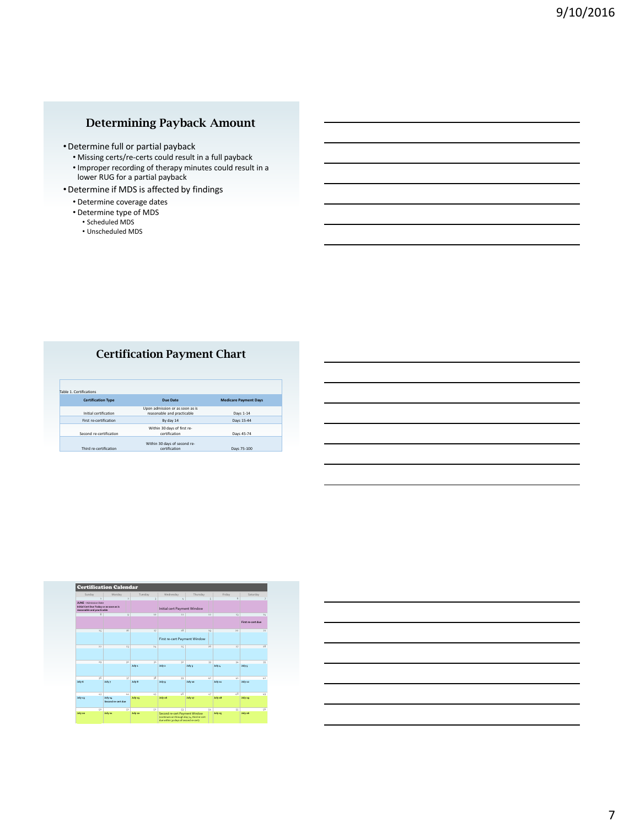# **Determining Payback Amount**

- •Determine full or partial payback
	- Missing certs/re-certs could result in a full payback
	- Improper recording of therapy minutes could result in a lower RUG for a partial payback
- •Determine if MDS is affected by findings
	- Determine coverage dates
	- Determine type of MDS
		- Scheduled MDS
		- Unscheduled MDS

# **Certification Payment Chart**

| Table 1. Certifications   |                                 |                              |
|---------------------------|---------------------------------|------------------------------|
| <b>Certification Type</b> | Due Date                        | <b>Medicare Payment Days</b> |
|                           | Upon admission or as soon as is |                              |
| Initial certification     | reasonable and practicable      | Days 1-14                    |
| First re-certification    | By day 14                       | Days 15-44                   |
|                           | Within 30 days of first re-     |                              |
| Second re-certification   | certification                   | Days 45-74                   |
|                           |                                 |                              |
|                           | Within 30 days of second re-    |                              |
| Third re-certification    | certification                   | Days 75-100                  |

|                                                                                                        | <b>Certification Calendar</b> |                |                             |                                                                                                                       |          |                 |                 |                        |
|--------------------------------------------------------------------------------------------------------|-------------------------------|----------------|-----------------------------|-----------------------------------------------------------------------------------------------------------------------|----------|-----------------|-----------------|------------------------|
| Sunday                                                                                                 | Monday                        | Tuesday        |                             | Wednesday                                                                                                             | Thursday |                 | <b>Friday</b>   | Saturday.              |
| ä,                                                                                                     |                               |                |                             |                                                                                                                       |          |                 | 6               |                        |
| <b>ILINE - Administration</b><br>Initial Cert Due Today or as soon as is<br>reasonable and practicable |                               |                |                             | Initial cert Payment Window                                                                                           |          |                 |                 |                        |
| $\overline{\mathbf{8}}$                                                                                |                               | $\overline{Q}$ | 20                          | 11                                                                                                                    |          | 12              | 11              | 14<br>First recrem due |
| 15                                                                                                     | 16                            |                | 17                          | 18                                                                                                                    |          | 10              | $20^{1}$        | 21                     |
|                                                                                                        |                               |                |                             | First re-cert Payment Window                                                                                          |          |                 |                 |                        |
| 22                                                                                                     | 21                            |                | 24                          | 25                                                                                                                    |          | 26              | 27              | $\overline{28}$        |
| 29                                                                                                     | 30                            |                | $\mathcal{X}^{\mathcal{I}}$ | 32                                                                                                                    |          | 33              | 34              | 35                     |
|                                                                                                        |                               | July 1         |                             | July 2                                                                                                                | July 1   |                 | Johns           | Julys                  |
| $\frac{1}{2}$                                                                                          | $\boldsymbol{v}$              |                | 38                          | 39                                                                                                                    |          | $\overline{10}$ | 4.1             | 42                     |
| July 6                                                                                                 | July 7                        | July 8         |                             | July 9                                                                                                                | July 10  |                 | July 11         | July 22                |
| 43                                                                                                     | 44                            |                | 45                          | $\overline{16}$                                                                                                       |          | 47              | $\overline{18}$ | 49                     |
| July 13                                                                                                | July 14<br>Second re-cert due | July 15        |                             | July 16                                                                                                               | July 17  |                 | July 18         | July 19                |
| so                                                                                                     | 51                            |                | S2                          | S3                                                                                                                    |          | 54              | 55              | 56                     |
| July 20                                                                                                | July 21                       | July 22        |                             | Second re-cert Payment Window<br>(continues on through day 74, third re-cert<br>due within 30 days of second re-cert) |          |                 | July as         | July 26                |

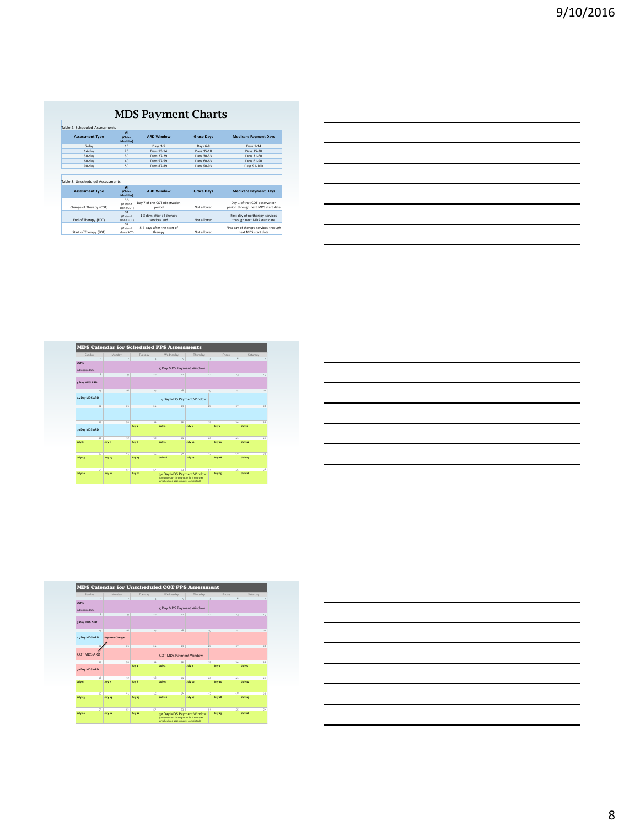# **MDS Payment Charts**

|                                  | $\Lambda$                                         |                                            |                   |                                                                 |
|----------------------------------|---------------------------------------------------|--------------------------------------------|-------------------|-----------------------------------------------------------------|
| <b>Assessment Type</b>           | (Claim<br>Modifier)                               | <b>ARD Window</b>                          | <b>Grace Davs</b> | <b>Medicare Payment Days</b>                                    |
| 5-day                            | 10                                                | Days 1-5                                   | Days 6-8          | Days 1-14                                                       |
| $14$ -day                        | 20                                                | Days 13-14                                 | Days 15-18        | Days 15-30                                                      |
| $30 - day$                       | 20                                                | Days 27-29                                 | Days 30-33        | Days 31-60                                                      |
| 60-day                           | 40                                                | Days 57-59                                 | Days 60-63        | Days 61-90                                                      |
| $90 - day$                       | s۵                                                | Days 87-89                                 | Days 90-93        | Days 91-100                                                     |
| Table 3, Unscheduled Assessments | $\Lambda$                                         |                                            |                   |                                                                 |
| <b>Assessment Type</b>           | (Claim                                            | <b>ARD Window</b>                          | <b>Grace Days</b> | <b>Medicare Payment Days</b>                                    |
|                                  | <b>Modifier)</b><br>00<br><b><i>lif</i></b> stand | Day 7 of the COT observation               |                   | Day 1 of that COT observation                                   |
| Change of Therapy (COT)          | alone COT)                                        | period                                     | Not allowed       | period through next MDS start date                              |
| End of Therapy (EOT)             | 04<br><b>Of stand</b><br>alone EOT)               | 1-3 days after all therapy<br>services end | Not allowed       | First day of no therapy services<br>through next MDS start date |

| ,我们也不会有什么?""我们的人,我们也不会有什么?""我们的人,我们也不会有什么?""我们的人,我们也不会有什么?""我们的人,我们也不会有什么?""我们的人 |  |  |  |
|----------------------------------------------------------------------------------|--|--|--|
|                                                                                  |  |  |  |
|                                                                                  |  |  |  |
|                                                                                  |  |  |  |
|                                                                                  |  |  |  |

|                       |                         |                            |              | <b>MDS Calendar for Scheduled PPS Assessments</b>                                                           |                |               |                 |                 |
|-----------------------|-------------------------|----------------------------|--------------|-------------------------------------------------------------------------------------------------------------|----------------|---------------|-----------------|-----------------|
| Sunday                |                         | Monday                     | Tuesday      | Wednesday                                                                                                   | Thursday       |               | <b>Friday</b>   | Saturday        |
| <b>JUNE</b>           |                         | ä                          |              |                                                                                                             |                |               | 6               |                 |
|                       |                         |                            |              |                                                                                                             |                |               |                 |                 |
| <b>Admission Date</b> |                         |                            |              | 5 Day MDS Payment Window                                                                                    |                |               |                 |                 |
|                       | $\overline{\mathbf{8}}$ | $\circ$                    | 20           | 11                                                                                                          |                | 12            | 13              | 14              |
| 5 Day MDS ARD         |                         |                            |              |                                                                                                             |                |               |                 |                 |
|                       | 15                      | 16                         | 17           | 18                                                                                                          |                | 10            | $20^{1}$        | 21              |
| 14 Day MDS ARD        |                         |                            |              | 14 Day MDS Payment Window                                                                                   |                |               |                 |                 |
|                       | 22                      | 21                         | 24           | 25                                                                                                          |                | 26            | 27              | $\overline{28}$ |
|                       |                         |                            |              |                                                                                                             |                |               |                 |                 |
|                       | 20                      | 10                         | 22           | 22                                                                                                          |                | $\mathcal{X}$ | 34              | 35              |
| 30 Day MDS ARD        |                         |                            | July 1       | July 2                                                                                                      | July 1         |               | July 4          | July 5          |
| July 6                | $\frac{1}{2}$           | $\boldsymbol{v}$<br>July 7 | 38<br>July 8 | 39<br>July 9                                                                                                | <b>July 10</b> | 40            | 41<br>July 11   | 42<br>July 11   |
|                       |                         |                            |              |                                                                                                             |                |               |                 |                 |
|                       | 43                      | 44                         | 45           | $\overline{16}$                                                                                             |                | 47            | $\overline{28}$ | 49              |
| July 13               |                         | July 14                    | July 15      | July 16                                                                                                     | July 17        |               | July 18         | July 19         |
|                       | so                      | 51                         | K2           | C1                                                                                                          |                | 54            | SS              | $\overline{6}$  |
| July 20               |                         | July 22                    | July 22      | 30 Day MDS Payment Window<br>(continues on through day 6o if no other<br>unscheduled assessments completed) |                |               | July as         | July 26         |

| <u> Andreas Andreas Andreas Andreas Andreas Andreas Andreas Andreas Andreas Andreas Andreas Andreas Andreas Andreas</u> |                                                             |  |  |  |
|-------------------------------------------------------------------------------------------------------------------------|-------------------------------------------------------------|--|--|--|
|                                                                                                                         |                                                             |  |  |  |
|                                                                                                                         |                                                             |  |  |  |
| <u> 1989 - Johann Stoff, deutscher Stoffen und der Stoffen und der Stoffen und der Stoffen und der Stoffen und der</u>  |                                                             |  |  |  |
|                                                                                                                         |                                                             |  |  |  |
|                                                                                                                         |                                                             |  |  |  |
|                                                                                                                         | <u> 1989 - Johann Stoff, amerikansk politiker (d. 1989)</u> |  |  |  |
|                                                                                                                         |                                                             |  |  |  |

| MDS Calendar for Unscheduled COT PPS Assessment |                        |         |                                                                                                             |                |           |           |
|-------------------------------------------------|------------------------|---------|-------------------------------------------------------------------------------------------------------------|----------------|-----------|-----------|
| Sunday                                          | Monday                 | Tuesday | Wednesday                                                                                                   | Thursday       | Friday    | Saturday. |
| ä,                                              | $\overline{z}$         |         |                                                                                                             |                | 6         |           |
| <b>ILINE</b>                                    |                        |         |                                                                                                             |                |           |           |
| <b>Admission Date</b>                           |                        |         | 5 Day MDS Payment Window                                                                                    |                |           |           |
| $\overline{\mathbf{8}}$                         | $\overline{Q}$         | 20      | 11                                                                                                          | 12             | 11        | 14        |
| 5 Day MDS ARD                                   |                        |         |                                                                                                             |                |           |           |
| 15                                              | 16                     | 17      | 18                                                                                                          | 10             | $20^{1}$  | $^{21}$   |
| 14 Day MDS ARD                                  | <b>Payment Changes</b> |         |                                                                                                             |                |           |           |
|                                                 | 21                     | 2L      | 25                                                                                                          | 26             | 27        | $^{18}$   |
| <b>COT MDS ARD</b>                              |                        |         | <b>COT MDS Payment Window</b>                                                                               |                |           |           |
| 20                                              | 20                     | 22      | 32                                                                                                          | $\mathcal{X}$  | 34        | 35        |
| 30 Day MDS ARD                                  |                        | July 1  | July 2                                                                                                      | July 1         | Johns     | July 5    |
| $\frac{1}{2}$                                   | $\alpha$               | 38      | 39                                                                                                          | 40             | 41        | 42        |
| July 6                                          | July 7                 | July 8  | Juhr o                                                                                                      | <b>July 10</b> | July 11   | Johnson   |
| 43                                              | 44                     | 45      | ú5                                                                                                          | 47             | $\iota$ 8 | 49        |
| July 13                                         | July 14                | July 15 | July 16                                                                                                     | July 17        | July 18   | July 19   |
| KO.                                             | K1                     | K2      | S3                                                                                                          | 54             | SS        | 66        |
| July 20                                         | July 22                | July 22 | 30 Day MDS Payment Window<br>(continues on through day 6o if no other<br>unscheduled assessments completed) |                | July as   | July 26   |

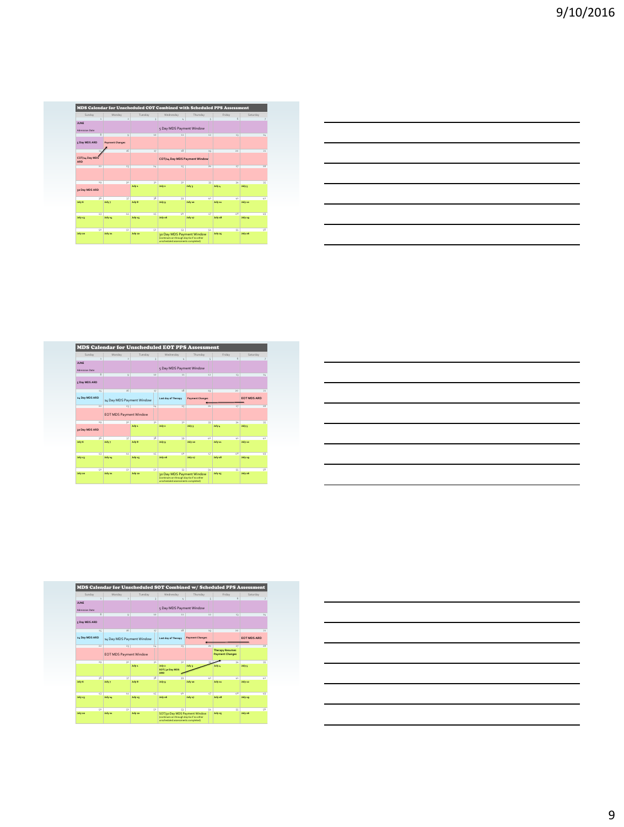|                              | MDS Calendar for Unscheduled COT Combined with Scheduled PPS Assessment |              |                                                                                                             |                 |                 |                 |
|------------------------------|-------------------------------------------------------------------------|--------------|-------------------------------------------------------------------------------------------------------------|-----------------|-----------------|-----------------|
| Sunday                       | Monday                                                                  | Tuesday      | Wednesday                                                                                                   | Thursday        | Friday          | Saturday.       |
|                              | ×                                                                       |              | 4                                                                                                           |                 | 6               |                 |
| <b>JUNE</b>                  |                                                                         |              |                                                                                                             |                 |                 |                 |
| <b>Admission Date</b>        |                                                                         |              | 5 Day MDS Payment Window                                                                                    |                 |                 |                 |
|                              | $\overline{\ast}$<br>$\alpha$                                           | 20           | 11                                                                                                          | 12              | 11              | 14              |
| 5 Day MDS ARD                | <b>Payment Changes</b>                                                  |              |                                                                                                             |                 |                 |                 |
|                              | 16                                                                      | 17           | 18                                                                                                          | 10              | $20^{1}$        | 21              |
| COT/14 Day MDS<br><b>ARD</b> |                                                                         |              | COT/14 Day MDS Payment Window                                                                               |                 |                 |                 |
| 22                           | 21                                                                      | $24^{+}$     | 25                                                                                                          | 26              | 27              | $\overline{28}$ |
|                              |                                                                         |              |                                                                                                             |                 |                 |                 |
| 20                           | 20                                                                      | 22<br>July 1 | 22<br>July 2                                                                                                | 33<br>July 1    | 24<br>July 4    | 35<br>July 5    |
| to Day MDS ARD               |                                                                         |              |                                                                                                             |                 |                 |                 |
| $\frac{1}{2}$                | $\boldsymbol{v}$                                                        | 38           | 39                                                                                                          | $\overline{10}$ | 41              | 42              |
| July 6                       | July 7                                                                  | July 8       | July 9                                                                                                      | July 10         | Johnson         | July 11         |
| 43                           | 44                                                                      | 45           | $\overline{16}$                                                                                             | 47              | $\overline{28}$ | 49              |
| July 13                      | July 14                                                                 | July 15      | July 16                                                                                                     | July 17         | July 18         | July 19         |
| KO.                          | K1                                                                      | K2           | $\overline{a}$                                                                                              | 54              | SS              | 56              |
| July 20                      | July 21                                                                 | July 22      | 30 Day MDS Payment Window<br>(continues on through day 6o if no other<br>unscheduled assessments completed) |                 | July at         | July 26         |

|                                                                                                                  |  | <u> 1989 - Johann Stoff, amerikansk politiker (d. 1989)</u>                                                          |
|------------------------------------------------------------------------------------------------------------------|--|----------------------------------------------------------------------------------------------------------------------|
|                                                                                                                  |  | <u> 1989 - Andrea Santa Andrea Andrea Andrea Andrea Andrea Andrea Andrea Andrea Andrea Andrea Andrea Andrea Andr</u> |
|                                                                                                                  |  |                                                                                                                      |
|                                                                                                                  |  | ,我们也不会有什么。""我们的人,我们也不会有什么?""我们的人,我们也不会有什么?""我们的人,我们也不会有什么?""我们的人,我们也不会有什么?""我们的人                                     |
|                                                                                                                  |  | <u> 1989 - Andrea Santa Andrea Andrea Andrea Andrea Andrea Andrea Andrea Andrea Andrea Andrea Andrea Andrea Andr</u> |
| and the control of the control of the control of the control of the control of the control of the control of the |  |                                                                                                                      |

|                |     |                              |         |    | <b>MDS Calendar for Unscheduled EOT PPS Assessment</b>                                                      |                        |                 |                    |
|----------------|-----|------------------------------|---------|----|-------------------------------------------------------------------------------------------------------------|------------------------|-----------------|--------------------|
| Sunday         |     | Monday                       | Tuesday |    | Wednesday                                                                                                   | Thursday               | Friday          | Saturday           |
|                | ۰   | ×                            |         |    |                                                                                                             |                        | 6               |                    |
| <b>ILINE</b>   |     |                              |         |    |                                                                                                             |                        |                 |                    |
| Admission Date |     |                              |         |    | 5 Day MDS Payment Window                                                                                    |                        |                 |                    |
|                | s   | $\alpha$                     | 20      |    | 22                                                                                                          | 12                     | 13              | 14                 |
| 5 Day MDS ARD  |     |                              |         |    |                                                                                                             |                        |                 |                    |
|                | 15  | 16                           |         | 17 | 18                                                                                                          | 10                     | 20              | $^{21}$            |
| 14 Day MDS ARD |     | 14 Day MDS Payment Window    |         |    | Last day of Therapy                                                                                         | <b>Payment Changes</b> |                 | <b>FOT MDS ARD</b> |
|                | 22  | 23                           | 24      |    | 25                                                                                                          | 36                     | 27              | $\overline{28}$    |
|                |     | <b>EOTMDS Payment Window</b> |         |    |                                                                                                             |                        |                 |                    |
|                | 20  | 10                           |         | 22 | $^{12}$                                                                                                     | $\mathcal{X}$          | 34              | 35                 |
| to Day MDS ARD |     |                              | July 1  |    | July 2                                                                                                      | July 3                 | July 4          | July 5             |
|                | 36  | $\alpha$                     |         | 38 | 39                                                                                                          | $\omega$               | 41              | 42                 |
| July 6         |     | July 7                       | July 8  |    | July 9                                                                                                      | July 10                | July 11         | Johnson            |
|                | 43  | 44                           | 45      |    | $\overline{16}$                                                                                             | 47                     | $\overline{28}$ | 49                 |
| July 13        |     | July 14                      | July 15 |    | July 16                                                                                                     | July 17                | July 18         | July 19            |
|                | KO. | 51                           | K2      |    | S1                                                                                                          | K.                     | 55              | $\overline{6}$     |
| July 20        |     | July 22                      | July 22 |    | 30 Day MDS Payment Window<br>(continues on through day 6o if no other<br>unscheduled assessments completed) |                        | July 26         | July 26            |

| the control of the control of the control of the control of the control of the control of the control of the control of the control of the control of the control of the control of the control of the control of the control |                            |
|-------------------------------------------------------------------------------------------------------------------------------------------------------------------------------------------------------------------------------|----------------------------|
|                                                                                                                                                                                                                               |                            |
|                                                                                                                                                                                                                               |                            |
|                                                                                                                                                                                                                               |                            |
|                                                                                                                                                                                                                               | the control of the control |
|                                                                                                                                                                                                                               |                            |
|                                                                                                                                                                                                                               |                            |
|                                                                                                                                                                                                                               |                            |
|                                                                                                                                                                                                                               |                            |

| Sunday                  | Monday                       | Tuesday      | Wednesday                                                                 | Thursday               | Friday                 | Saturday           |
|-------------------------|------------------------------|--------------|---------------------------------------------------------------------------|------------------------|------------------------|--------------------|
| ä,                      |                              |              |                                                                           |                        | 6                      |                    |
| <b>ILINE</b>            |                              |              |                                                                           |                        |                        |                    |
| <b>Admission Date</b>   |                              |              | 5 Day MDS Payment Window                                                  |                        |                        |                    |
| $\overline{\mathbf{8}}$ | ö                            | 20           | 11                                                                        | 12                     | 11                     | 14                 |
|                         |                              |              |                                                                           |                        |                        |                    |
| < Day MDS ARD           |                              |              |                                                                           |                        |                        |                    |
| 15                      | 16                           | 17           | $+8$                                                                      | 10                     | $20^{1}$               | $^{21}$            |
|                         |                              |              |                                                                           |                        |                        |                    |
| 14 Day MDS ARD          | 14 Day MDS Payment Window    |              | Last day of Therapy                                                       | <b>Payment Changes</b> |                        | <b>EOT MDS ARD</b> |
| 22                      | 21                           | 2L           | 25                                                                        | 26                     | $_{27}$                | $_{28}$            |
|                         |                              |              |                                                                           |                        | <b>Therapy Resumes</b> |                    |
|                         | <b>EOTMDS Payment Window</b> |              |                                                                           |                        | <b>Payment Changes</b> |                    |
| 29                      | 30 <sup>o</sup>              | 22           | 32                                                                        |                        | 34                     | 35                 |
|                         |                              | Johns        | Juhr z.                                                                   | July 3                 | July 4                 | July 5             |
|                         |                              |              | SOT/ 30 Day MDS                                                           |                        |                        |                    |
|                         |                              |              | 400                                                                       |                        |                        |                    |
| 36<br>July 6            | $\boldsymbol{v}$<br>July 7   | 38<br>July 8 | $\mathcal{R}$<br>July 9                                                   | 40<br><b>July 10</b>   | 41<br>July 11          | 42<br>Johnson      |
|                         |                              |              |                                                                           |                        |                        |                    |
|                         |                              |              |                                                                           |                        |                        |                    |
| 43                      | $\overline{a}$               | 45           | ú5                                                                        | 47                     | $\iota$ 8              | $\omega$           |
| July 13                 | July 14                      | July 15      | July 16                                                                   | July 17                | July 18                | July 19            |
|                         |                              |              |                                                                           |                        |                        |                    |
|                         | 51                           | S2           | S3                                                                        | Ks.                    | SS                     | $\overline{6}$     |
| KO.                     |                              |              |                                                                           |                        |                        |                    |
| July 20                 | July 22                      | July 22      | SOT/30 Day MDS Payment Window<br>(continues on through day 60 if no other |                        | July 25                | July 26            |

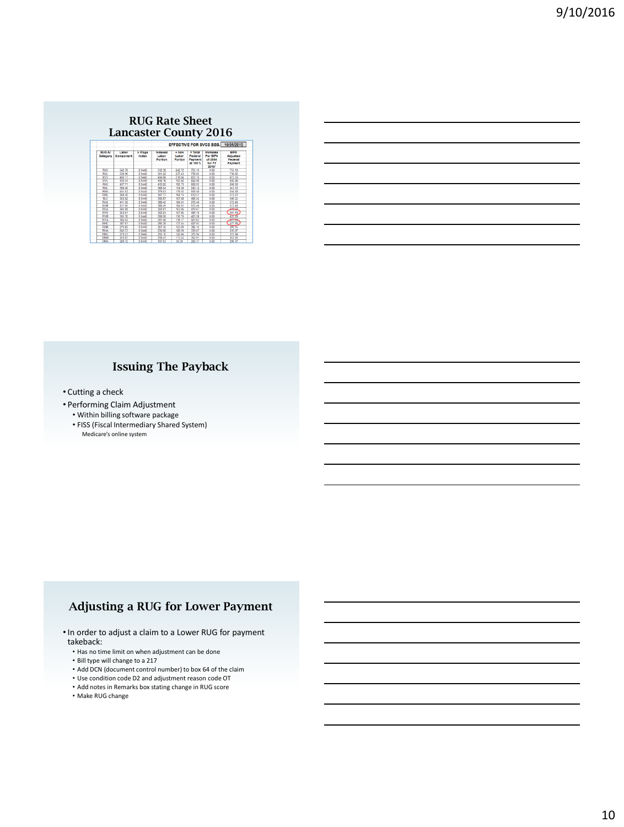#### **RUG Rate Sheet Lancaster County 2016**

| <b>RUG-IV</b><br>Category | Labor<br>Component | x Wage<br>Index | <b>EFFECTIVE FOR SVCS BEG.</b> 10/01/2015 |                             |                                           |                                                    |                                               |
|---------------------------|--------------------|-----------------|-------------------------------------------|-----------------------------|-------------------------------------------|----------------------------------------------------|-----------------------------------------------|
|                           |                    |                 | Indexed<br>Labor<br>Portion               | $+$ Non<br>Labor<br>Portion | = Total<br>Federal<br>Payment<br>at 100 % | Increase<br>Per BIPA<br>of 2000<br>for FY<br>2016* | <b>BIPA</b><br>Adjusted<br>Federal<br>Payment |
| <b>RUX</b>                | 542.78             | 0.9440          | 512.38                                    | 242.72                      | 765.10                                    | 0.00                                               | 755.10                                        |
| <b>RUL</b>                | 530.96             | 0 9440          | 501.22                                    | 237.43                      | 738.65                                    | 0.00                                               | 738.65                                        |
| <b>RVX</b>                | 483.11             | 0.9440          | 456.06                                    | 216.04                      | 672.10                                    | 0.00                                               | 672.10                                        |
| <b>RVL</b>                | 433.44             | 0.9440          | 409.16                                    | 193.82                      | 602.98                                    | 0.00                                               | 602.98                                        |
| <b>RHX</b>                | 437.71             | 0 9440          | 413.20                                    | 195.73                      | 608.93                                    | 0.00                                               | 608.93                                        |
| RHI                       | 390.40             | 0.9440          | 368.54                                    | 174.58                      | 543.12                                    | 0.00                                               | 543.12                                        |
| RMX                       | 401.62             | 0 9440          | 379.03                                    | 179.66                      | 558.58                                    | 0.00                                               | 658.58                                        |
| <b>RMI</b>                | 368.40             | 0 9440          | 347.77                                    | 164 74                      | 512.51                                    | 0.00                                               | 612.51                                        |
| RLX                       | 352.62             | 0.9440          | 332.87                                    | 157.68                      | 490.55                                    | 0.00                                               | 490.55                                        |
| <b>RUC</b>                | 411.60             | 0 9440          | 318.45                                    | 184.01                      | 572.46                                    | 0.00                                               | 672.46                                        |
| <b>RUB</b>                | 411.60             | 0.9440          | 388.45                                    | 184.01                      | 572.46                                    | 0.00                                               | 672.46                                        |
| <b>RUA</b>                | 344.08             | 0 9440          | 324.81                                    | 153.86                      | 478.67                                    | 0.00                                               | يعفته                                         |
| <b>RVC</b>                | 353.01             | 0 9440          | 333.24                                    | 157.86                      | 491.10                                    | 0.00                                               | 491.10                                        |
| RVB                       | 305.70             | 0.9440          | 288.58                                    | 136.70                      | 425.28                                    | 0.00                                               | 420.2                                         |
| <b>RVA</b>                | 304 52             | 0 9440          | 287.46                                    | 136.17                      | 423.63                                    | 0.00                                               | تتبجن                                         |
| RHC                       | 307.61             | 0.9440          | 290.38                                    | 137.66                      | 427.93                                    | 0.00                                               | 427.93                                        |
| RHB                       | 276.86             | 0.9440          | 261.36                                    | 123.80                      | 385.15                                    | 0.00                                               | $\overline{1}$                                |
| <b>RHA</b>                | 243.73             | 0 9440          | 230.08                                    | 108.99                      | 339.07                                    | 0.00                                               | 339.07                                        |
| <b>RMC</b>                | 270.23             | 0.9440          | 255.10                                    | 120.84                      | 375.94                                    | 0.00                                               | 375.94                                        |
| <b>RMB</b>                | 253.67             | 0 9440          | 239.47                                    | 113.44                      | 362.91                                    | 0.00                                               | 352.91                                        |
| <b>RMA</b>                | 208.72             | 0 9440          | 197.03                                    | 93.34                       | 290.37                                    | 0.00                                               | 290.37                                        |

# **Issuing The Payback**

• Cutting a check

- Performing Claim Adjustment
	- Within billing software package
	- FISS (Fiscal Intermediary Shared System) Medicare's online system

# **Adjusting a RUG for Lower Payment**

•In order to adjust a claim to a Lower RUG for payment takeback:

- Has no time limit on when adjustment can be done
- Bill type will change to a 217
- Add DCN (document control number) to box 64 of the claim
- Use condition code D2 and adjustment reason code OT
- Add notes in Remarks box stating change in RUG score
- Make RUG change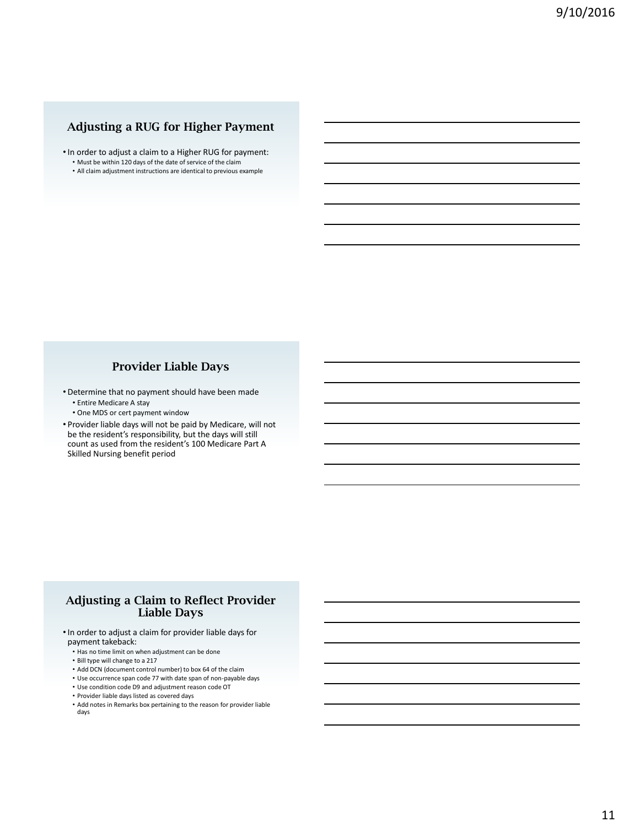# **Adjusting a RUG for Higher Payment**

- •In order to adjust a claim to a Higher RUG for payment:
- Must be within 120 days of the date of service of the claim
- All claim adjustment instructions are identical to previous example

#### **Provider Liable Days**

- Determine that no payment should have been made
	- Entire Medicare A stay
	- One MDS or cert payment window
- Provider liable days will not be paid by Medicare, will not be the resident's responsibility, but the days will still count as used from the resident's 100 Medicare Part A Skilled Nursing benefit period

### **Adjusting a Claim to Reflect Provider Liable Days**

- •In order to adjust a claim for provider liable days for payment takeback:
	- Has no time limit on when adjustment can be done
	- Bill type will change to a 217
	- Add DCN (document control number) to box 64 of the claim
	- Use occurrence span code 77 with date span of non-payable days
	- Use condition code D9 and adjustment reason code OT
	- Provider liable days listed as covered days
	- Add notes in Remarks box pertaining to the reason for provider liable days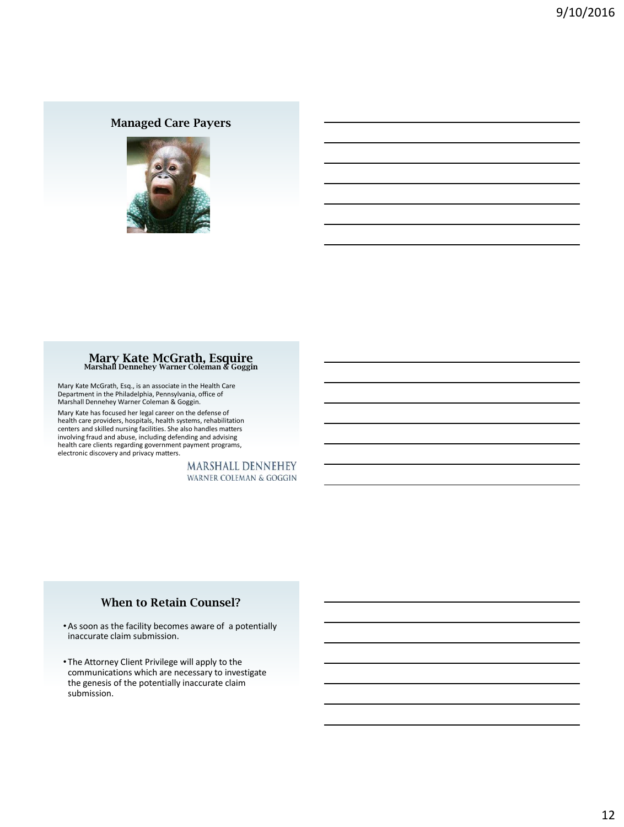# **Managed Care Payers**



# **Mary Kate McGrath, Esquire Marshall Dennehey Warner Coleman & Goggin**

Mary Kate McGrath, Esq., is an associate in the Health Care Department in the Philadelphia, Pennsylvania, office of Marshall Dennehey Warner Coleman & Goggin.

Mary Kate has focused her legal career on the defense of health care providers, hospitals, health systems, rehabilitation centers and skilled nursing facilities. She also handles matters involving fraud and abuse, including defending and advising health care clients regarding government payment programs, electronic discovery and privacy matters.

> **MARSHALL DENNEHEY WARNER COLEMAN & GOGGIN**

### **When to Retain Counsel?**

- •As soon as the facility becomes aware of a potentially inaccurate claim submission.
- The Attorney Client Privilege will apply to the communications which are necessary to investigate the genesis of the potentially inaccurate claim submission.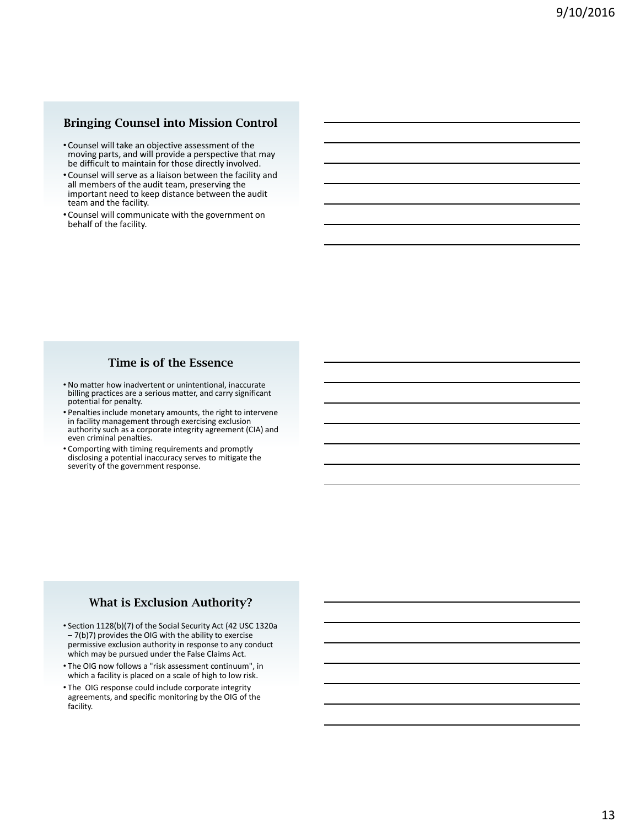### **Bringing Counsel into Mission Control**

- Counsel will take an objective assessment of the moving parts, and will provide a perspective that may be difficult to maintain for those directly involved.
- Counsel will serve as a liaison between the facility and all members of the audit team, preserving the important need to keep distance between the audit team and the facility.
- Counsel will communicate with the government on behalf of the facility.

### **Time is of the Essence**

- No matter how inadvertent or unintentional, inaccurate billing practices are a serious matter, and carry significant potential for penalty.
- Penalties include monetary amounts, the right to intervene in facility management through exercising exclusion authority such as a corporate integrity agreement (CIA) and even criminal penalties.
- Comporting with timing requirements and promptly disclosing a potential inaccuracy serves to mitigate the severity of the government response.

#### **What is Exclusion Authority?**

- Section 1128(b)(7) of the Social Security Act (42 USC 1320a – 7(b)7) provides the OIG with the ability to exercise permissive exclusion authority in response to any conduct which may be pursued under the False Claims Act.
- The OIG now follows a "risk assessment continuum", in which a facility is placed on a scale of high to low risk.
- The OIG response could include corporate integrity agreements, and specific monitoring by the OIG of the facility.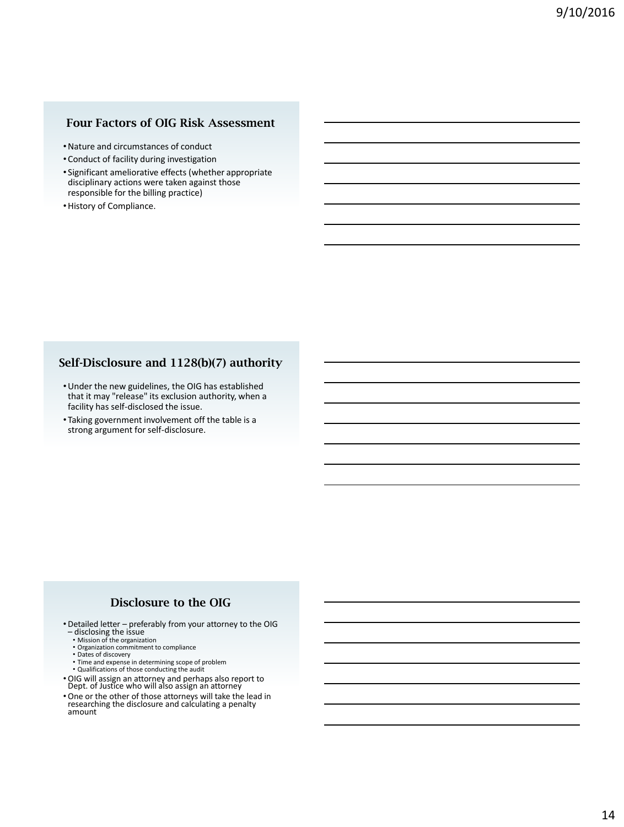## **Four Factors of OIG Risk Assessment**

- •Nature and circumstances of conduct
- Conduct of facility during investigation
- Significant ameliorative effects (whether appropriate disciplinary actions were taken against those responsible for the billing practice)
- •History of Compliance.

### **Self-Disclosure and 1128(b)(7) authority**

- •Under the new guidelines, the OIG has established that it may "release" its exclusion authority, when a facility has self-disclosed the issue.
- Taking government involvement off the table is a strong argument for self-disclosure.

### **Disclosure to the OIG**

- Detailed letter preferably from your attorney to the OIG disclosing the issue Mission of the organization
	-
	- Organization commitment to compliance
	- Dates of discovery Time and expense in determining scope of problem
	- Qualifications of those conducting the audit
- OIG will assign an attorney and perhaps also report to Dept. of Justice who will also assign an attorney
- One or the other of those attorneys will take the lead in researching the disclosure and calculating a penalty amount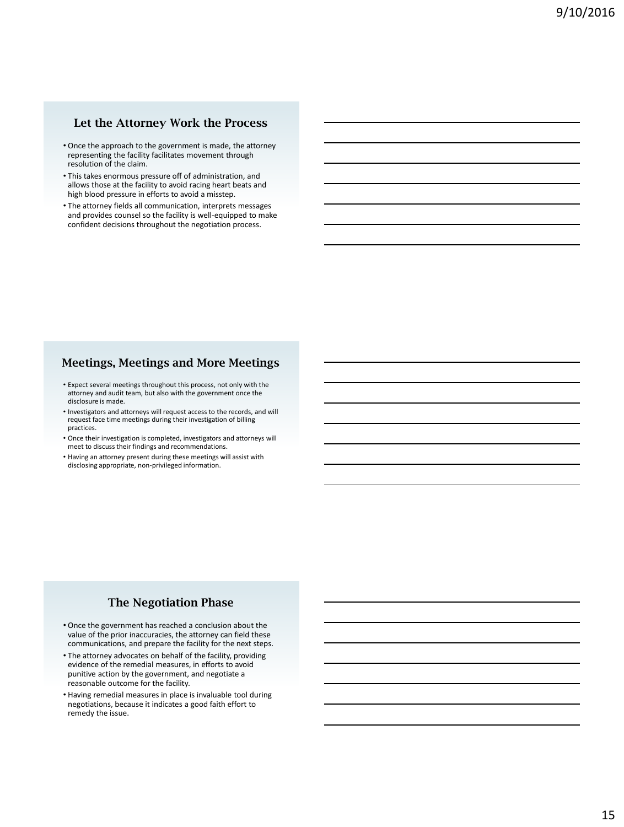#### **Let the Attorney Work the Process**

- Once the approach to the government is made, the attorney representing the facility facilitates movement through resolution of the claim.
- This takes enormous pressure off of administration, and allows those at the facility to avoid racing heart beats and high blood pressure in efforts to avoid a misstep.
- The attorney fields all communication, interprets messages and provides counsel so the facility is well-equipped to make confident decisions throughout the negotiation process.

#### **Meetings, Meetings and More Meetings**

- Expect several meetings throughout this process, not only with the attorney and audit team, but also with the government once the disclosure is made.
- Investigators and attorneys will request access to the records, and will request face time meetings during their investigation of billing practices.
- Once their investigation is completed, investigators and attorneys will meet to discuss their findings and recommendations.
- Having an attorney present during these meetings will assist with disclosing appropriate, non-privileged information.

#### **The Negotiation Phase**

- Once the government has reached a conclusion about the value of the prior inaccuracies, the attorney can field these communications, and prepare the facility for the next steps.
- The attorney advocates on behalf of the facility, providing evidence of the remedial measures, in efforts to avoid punitive action by the government, and negotiate a reasonable outcome for the facility.
- Having remedial measures in place is invaluable tool during negotiations, because it indicates a good faith effort to remedy the issue.